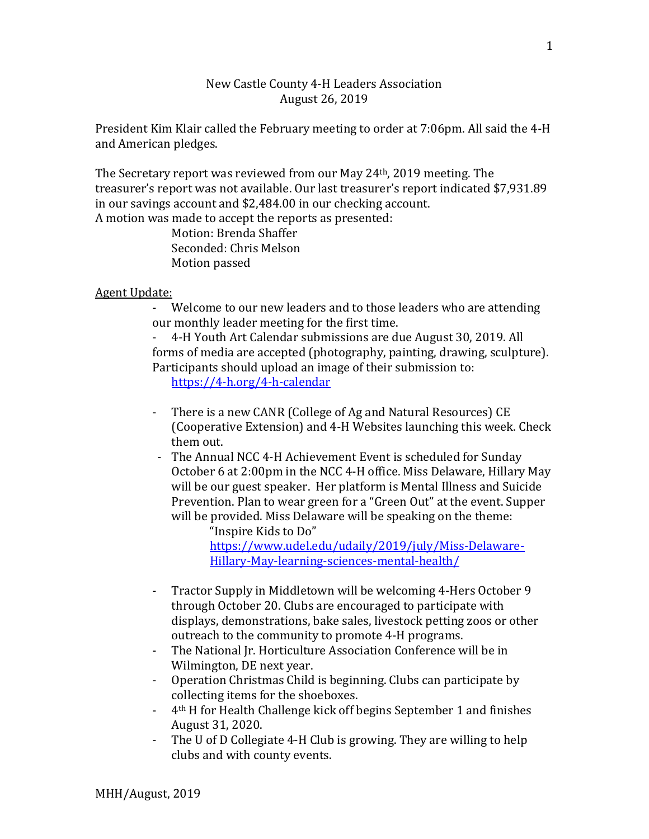## New Castle County 4-H Leaders Association August 26, 2019

President Kim Klair called the February meeting to order at 7:06pm. All said the 4-H and American pledges.

The Secretary report was reviewed from our May 24th, 2019 meeting. The treasurer's report was not available. Our last treasurer's report indicated \$7,931.89 in our savings account and \$2,484.00 in our checking account. A motion was made to accept the reports as presented:

> Motion: Brenda Shaffer Seconded: Chris Melson Motion passed

## Agent Update:

- Welcome to our new leaders and to those leaders who are attending our monthly leader meeting for the first time.

- 4-H Youth Art Calendar submissions are due August 30, 2019. All forms of media are accepted (photography, painting, drawing, sculpture). Participants should upload an image of their submission to:

<https://4-h.org/4-h-calendar>

- There is a new CANR (College of Ag and Natural Resources) CE (Cooperative Extension) and 4-H Websites launching this week. Check them out.
- The Annual NCC 4-H Achievement Event is scheduled for Sunday October 6 at 2:00pm in the NCC 4-H office. Miss Delaware, Hillary May will be our guest speaker. Her platform is Mental Illness and Suicide Prevention. Plan to wear green for a "Green Out" at the event. Supper will be provided. Miss Delaware will be speaking on the theme:

"Inspire Kids to Do" [https://www.udel.edu/udaily/2019/july/Miss-Delaware-](https://www.udel.edu/udaily/2019/july/Miss-Delaware-Hillary-May-learning-sciences-mental-health/)[Hillary-May-learning-sciences-mental-health/](https://www.udel.edu/udaily/2019/july/Miss-Delaware-Hillary-May-learning-sciences-mental-health/)

- Tractor Supply in Middletown will be welcoming 4-Hers October 9 through October 20. Clubs are encouraged to participate with displays, demonstrations, bake sales, livestock petting zoos or other outreach to the community to promote 4-H programs.
- The National Jr. Horticulture Association Conference will be in Wilmington, DE next year.
- Operation Christmas Child is beginning. Clubs can participate by collecting items for the shoeboxes.
- 4th H for Health Challenge kick off begins September 1 and finishes August 31, 2020.
- The U of D Collegiate 4-H Club is growing. They are willing to help clubs and with county events.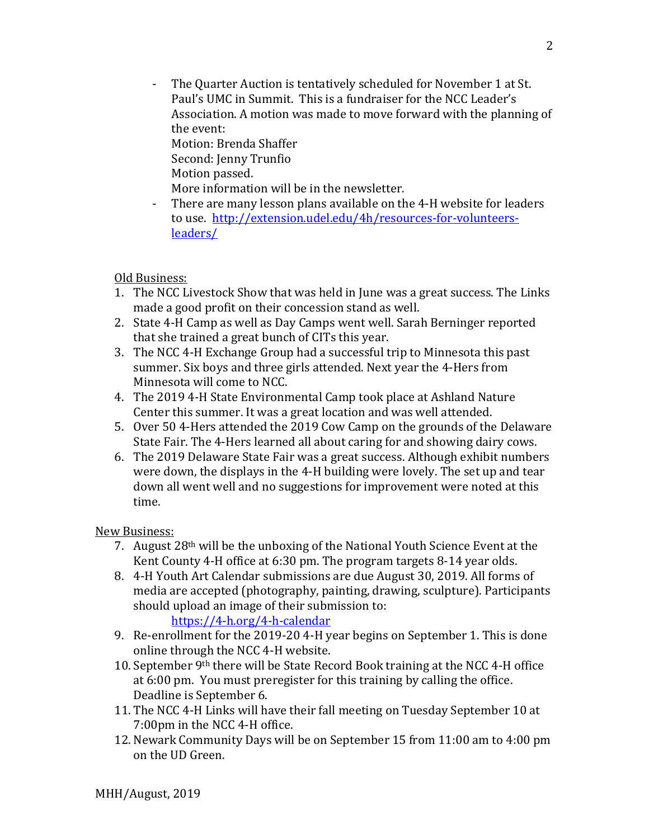- The Quarter Auction is tentatively scheduled for November 1 at St. Paul's UMC in Summit. This is a fundraiser for the NCC Leader's Association. A motion was made to move forward with the planning of the event:

Motion: Brenda Shaffer Second: Jenny Trunfio Motion passed.

- More information will be in the newsletter.
- There are many lesson plans available on the 4-H website for leaders to use. [http://extension.udel.edu/4h/resources-for-volunteers](http://extension.udel.edu/4h/resources-for-volunteers-leaders/)[leaders/](http://extension.udel.edu/4h/resources-for-volunteers-leaders/)

Old Business:

- 1. The NCC Livestock Show that was held in June was a great success. The Links made a good profit on their concession stand as well.
- 2. State 4-H Camp as well as Day Camps went well. Sarah Berninger reported that she trained a great bunch of CITs this year.
- 3. The NCC 4-H Exchange Group had a successful trip to Minnesota this past summer. Six boys and three girls attended. Next year the 4-Hers from Minnesota will come to NCC.
- 4. The 2019 4-H State Environmental Camp took place at Ashland Nature Center this summer. It was a great location and was well attended.
- 5. Over 50 4-Hers attended the 2019 Cow Camp on the grounds of the Delaware State Fair. The 4-Hers learned all about caring for and showing dairy cows.
- 6. The 2019 Delaware State Fair was a great success. Although exhibit numbers were down, the displays in the 4-H building were lovely. The set up and tear down all went well and no suggestions for improvement were noted at this time.

New Business:

- 7. August 28th will be the unboxing of the National Youth Science Event at the Kent County 4-H office at 6:30 pm. The program targets 8-14 year olds.
- 8. 4-H Youth Art Calendar submissions are due August 30, 2019. All forms of media are accepted (photography, painting, drawing, sculpture). Participants should upload an image of their submission to:

<https://4-h.org/4-h-calendar>

- 9. Re-enrollment for the 2019-20 4-H year begins on September 1. This is done online through the NCC 4-H website.
- 10. September 9th there will be State Record Book training at the NCC 4-H office at 6:00 pm. You must preregister for this training by calling the office. Deadline is September 6.
- 11. The NCC 4-H Links will have their fall meeting on Tuesday September 10 at 7:00pm in the NCC 4-H office.
- 12. Newark Community Days will be on September 15 from 11:00 am to 4:00 pm on the UD Green.